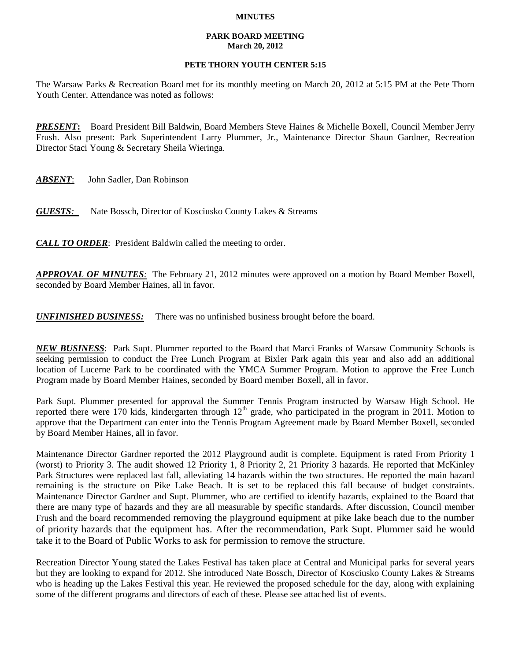## **MINUTES**

## **PARK BOARD MEETING March 20, 2012**

## **PETE THORN YOUTH CENTER 5:15**

The Warsaw Parks & Recreation Board met for its monthly meeting on March 20, 2012 at 5:15 PM at the Pete Thorn Youth Center. Attendance was noted as follows:

*PRESENT***:** Board President Bill Baldwin, Board Members Steve Haines & Michelle Boxell, Council Member Jerry Frush. Also present: Park Superintendent Larry Plummer, Jr., Maintenance Director Shaun Gardner, Recreation Director Staci Young & Secretary Sheila Wieringa.

*ABSENT*: John Sadler, Dan Robinson

*GUESTS:*Nate Bossch, Director of Kosciusko County Lakes & Streams

*CALL TO ORDER*: President Baldwin called the meeting to order.

*APPROVAL OF MINUTES:* The February 21, 2012 minutes were approved on a motion by Board Member Boxell, seconded by Board Member Haines, all in favor.

*UNFINISHED BUSINESS:* There was no unfinished business brought before the board.

*NEW BUSINESS*: Park Supt. Plummer reported to the Board that Marci Franks of Warsaw Community Schools is seeking permission to conduct the Free Lunch Program at Bixler Park again this year and also add an additional location of Lucerne Park to be coordinated with the YMCA Summer Program. Motion to approve the Free Lunch Program made by Board Member Haines, seconded by Board member Boxell, all in favor.

Park Supt. Plummer presented for approval the Summer Tennis Program instructed by Warsaw High School. He reported there were 170 kids, kindergarten through  $12<sup>th</sup>$  grade, who participated in the program in 2011. Motion to approve that the Department can enter into the Tennis Program Agreement made by Board Member Boxell, seconded by Board Member Haines, all in favor.

Maintenance Director Gardner reported the 2012 Playground audit is complete. Equipment is rated From Priority 1 (worst) to Priority 3. The audit showed 12 Priority 1, 8 Priority 2, 21 Priority 3 hazards. He reported that McKinley Park Structures were replaced last fall, alleviating 14 hazards within the two structures. He reported the main hazard remaining is the structure on Pike Lake Beach. It is set to be replaced this fall because of budget constraints. Maintenance Director Gardner and Supt. Plummer, who are certified to identify hazards, explained to the Board that there are many type of hazards and they are all measurable by specific standards. After discussion, Council member Frush and the board recommended removing the playground equipment at pike lake beach due to the number of priority hazards that the equipment has. After the recommendation, Park Supt. Plummer said he would take it to the Board of Public Works to ask for permission to remove the structure.

Recreation Director Young stated the Lakes Festival has taken place at Central and Municipal parks for several years but they are looking to expand for 2012. She introduced Nate Bossch, Director of Kosciusko County Lakes & Streams who is heading up the Lakes Festival this year. He reviewed the proposed schedule for the day, along with explaining some of the different programs and directors of each of these. Please see attached list of events.